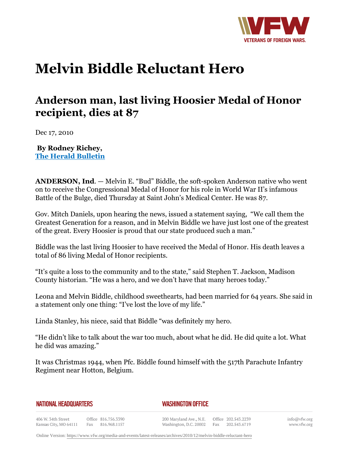

## **Melvin Biddle Reluctant Hero**

## **Anderson man, last living Hoosier Medal of Honor recipient, dies at 87**

Dec 17, 2010

**By Rodney Richey, The Herald Bulletin**

**ANDERSON, Ind***.* — Melvin E. "Bud" Biddle, the soft-spoken Anderson native who went on to receive the Congressional Medal of Honor for his role in World War II's infamous Battle of the Bulge, died Thursday at Saint John's Medical Center. He was 87.

Gov. Mitch Daniels, upon hearing the news, issued a statement saying, "We call them the Greatest Generation for a reason, and in Melvin Biddle we have just lost one of the greatest of the great. Every Hoosier is proud that our state produced such a man."

Biddle was the last living Hoosier to have received the Medal of Honor. His death leaves a total of 86 living Medal of Honor recipients.

"It's quite a loss to the community and to the state," said Stephen T. Jackson, Madison County historian. "He was a hero, and we don't have that many heroes today."

Leona and Melvin Biddle, childhood sweethearts, had been married for 64 years. She said in a statement only one thing: "I've lost the love of my life."

Linda Stanley, his niece, said that Biddle "was definitely my hero.

"He didn't like to talk about the war too much, about what he did. He did quite a lot. What he did was amazing."

It was Christmas 1944, when Pfc. Biddle found himself with the 517th Parachute Infantry Regiment near Hotton, Belgium.

|  |  |  |  | NATIONAL HEADQUARTERS |
|--|--|--|--|-----------------------|
|  |  |  |  |                       |

## *WASHINGTON OFFICE*

406 W. 34th Street Office 816.756.3390 Fax 816.968.1157 Kansas City, MO 64111

200 Maryland Ave., N.E. Washington, D.C. 20002 Fax

Office 202.543.2239 202.543.6719 info@vfw.org www.vfw.org

Online Version:<https://www.vfw.org/media-and-events/latest-releases/archives/2010/12/melvin-biddle-reluctant-hero>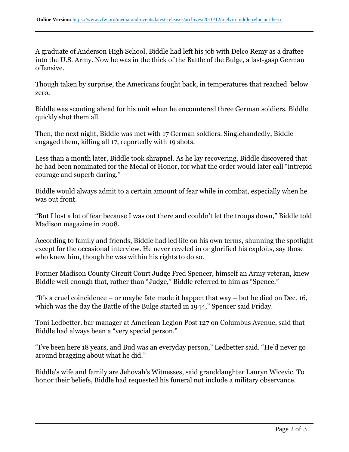A graduate of Anderson High School, Biddle had left his job with Delco Remy as a draftee into the U.S. Army. Now he was in the thick of the Battle of the Bulge, a last-gasp German offensive.

Though taken by surprise, the Americans fought back, in temperatures that reached below zero.

Biddle was scouting ahead for his unit when he encountered three German soldiers. Biddle quickly shot them all.

Then, the next night, Biddle was met with 17 German soldiers. Singlehandedly, Biddle engaged them, killing all 17, reportedly with 19 shots.

Less than a month later, Biddle took shrapnel. As he lay recovering, Biddle discovered that he had been nominated for the Medal of Honor, for what the order would later call "intrepid courage and superb daring."

Biddle would always admit to a certain amount of fear while in combat, especially when he was out front.

"But I lost a lot of fear because I was out there and couldn't let the troops down," Biddle told Madison magazine in 2008.

According to family and friends, Biddle had led life on his own terms, shunning the spotlight except for the occasional interview. He never reveled in or glorified his exploits, say those who knew him, though he was within his rights to do so.

Former Madison County Circuit Court Judge Fred Spencer, himself an Army veteran, knew Biddle well enough that, rather than "Judge," Biddle referred to him as "Spence."

"It's a cruel coincidence – or maybe fate made it happen that way – but he died on Dec. 16, which was the day the Battle of the Bulge started in 1944," Spencer said Friday.

Toni Ledbetter, bar manager at American Legion Post 127 on Columbus Avenue, said that Biddle had always been a "very special person."

"I've been here 18 years, and Bud was an everyday person," Ledbetter said. "He'd never go around bragging about what he did."

Biddle's wife and family are Jehovah's Witnesses, said granddaughter Lauryn Wicevic. To honor their beliefs, Biddle had requested his funeral not include a military observance.